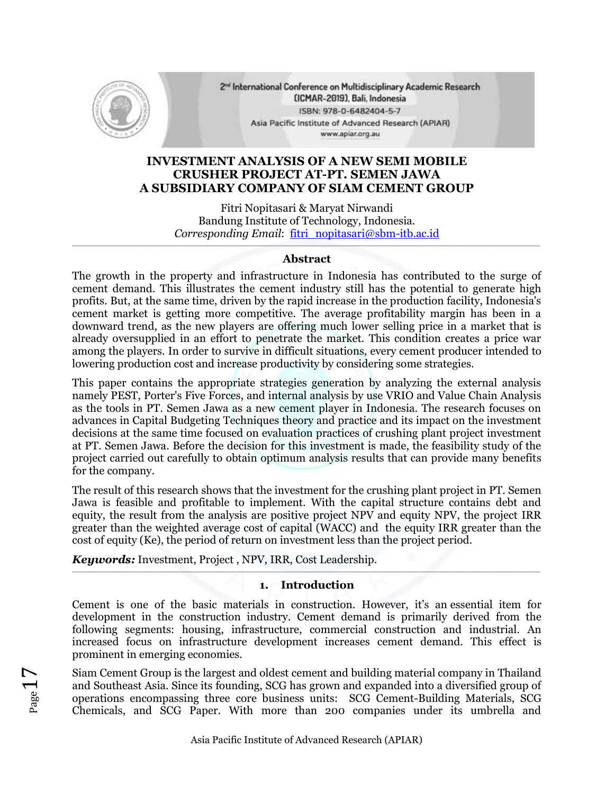

2<sup>nd</sup> International Conference on Multidisciplinary Academic Research (ICMAR-2019), Bali, Indonesia ISBN: 978-0-6482404-5-7 Asia Pacific Institute of Advanced Research (APIAR) www.apiar.org.au

## **INVESTMENT ANALYSIS OF A NEW SEMI MOBILE CRUSHER PROJECT AT-PT. SEMEN JAWA A SUBSIDIARY COMPANY OF SIAM CEMENT GROUP**

Fitri Nopitasari & Maryat Nirwandi Bandung Institute of Technology, Indonesia. *Corresponding Email*: fitri\_nopitasari@sbm-itb.ac.id

### \_\_\_\_\_\_\_\_\_\_\_\_\_\_\_\_\_\_\_\_\_\_\_\_\_\_\_\_\_\_\_\_\_\_\_\_\_\_\_\_\_\_\_\_\_\_\_\_\_\_\_\_\_\_\_\_\_\_\_\_\_\_\_\_\_\_\_\_\_\_\_\_\_\_\_\_\_\_\_\_\_\_\_\_\_\_\_\_\_\_\_\_\_\_\_\_\_\_\_\_\_\_\_\_\_\_\_\_\_\_\_\_\_\_\_\_\_\_\_\_\_ **Abstract**

The growth in the property and infrastructure in Indonesia has contributed to the surge of cement demand. This illustrates the cement industry still has the potential to generate high profits. But, at the same time, driven by the rapid increase in the production facility, Indonesia's cement market is getting more competitive. The average profitability margin has been in a downward trend, as the new players are offering much lower selling price in a market that is already oversupplied in an effort to penetrate the market. This condition creates a price war among the players. In order to survive in difficult situations, every cement producer intended to lowering production cost and increase productivity by considering some strategies.

This paper contains the appropriate strategies generation by analyzing the external analysis namely PEST, Porter's Five Forces, and internal analysis by use VRIO and Value Chain Analysis as the tools in PT. Semen Jawa as a new cement player in Indonesia. The research focuses on advances in Capital Budgeting Techniques theory and practice and its impact on the investment decisions at the same time focused on evaluation practices of crushing plant project investment at PT. Semen Jawa. Before the decision for this investment is made, the feasibility study of the project carried out carefully to obtain optimum analysis results that can provide many benefits for the company.

The result of this research shows that the investment for the crushing plant project in PT. Semen Jawa is feasible and profitable to implement. With the capital structure contains debt and equity, the result from the analysis are positive project NPV and equity NPV, the project IRR greater than the weighted average cost of capital (WACC) and the equity IRR greater than the cost of equity (Ke), the period of return on investment less than the project period.

*Keywords:* Investment, Project , NPV, IRR, Cost Leadership.

#### $\mathcal{L}_\mathcal{L} = \mathcal{L}_\mathcal{L} = \mathcal{L}_\mathcal{L} = \mathcal{L}_\mathcal{L} = \mathcal{L}_\mathcal{L} = \mathcal{L}_\mathcal{L} = \mathcal{L}_\mathcal{L} = \mathcal{L}_\mathcal{L} = \mathcal{L}_\mathcal{L} = \mathcal{L}_\mathcal{L} = \mathcal{L}_\mathcal{L} = \mathcal{L}_\mathcal{L} = \mathcal{L}_\mathcal{L} = \mathcal{L}_\mathcal{L} = \mathcal{L}_\mathcal{L} = \mathcal{L}_\mathcal{L} = \mathcal{L}_\mathcal{L}$ **1. Introduction**

Cement is one of the basic materials in construction. However, it's an essential item for development in the construction industry. Cement demand is primarily derived from the following segments: housing, infrastructure, commercial construction and industrial. An increased focus on infrastructure development increases cement demand. This effect is prominent in emerging economies.

Siam Cement Group is the largest and oldest cement and building material company in Thailand and Southeast Asia. Since its founding, SCG has grown and expanded into a diversified group of operations encompassing three core business units: SCG Cement-Building Materials, SCG Chemicals, and SCG Paper. With more than 200 companies under its umbrella and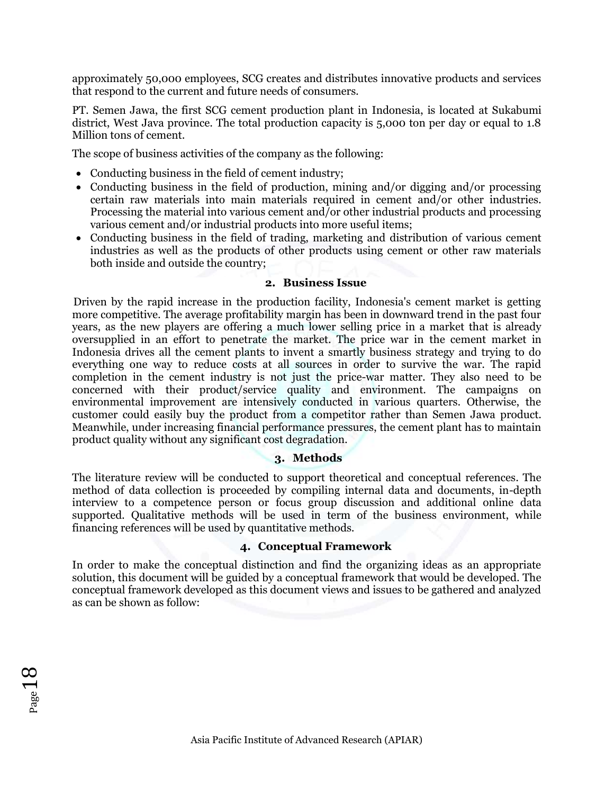approximately 50,000 employees, SCG creates and distributes innovative products and services that respond to the current and future needs of consumers.

PT. Semen Jawa, the first SCG cement production plant in Indonesia, is located at Sukabumi district, West Java province. The total production capacity is 5,000 ton per day or equal to 1.8 Million tons of cement.

The scope of business activities of the company as the following:

- Conducting business in the field of cement industry;
- Conducting business in the field of production, mining and/or digging and/or processing certain raw materials into main materials required in cement and/or other industries. Processing the material into various cement and/or other industrial products and processing various cement and/or industrial products into more useful items;
- Conducting business in the field of trading, marketing and distribution of various cement industries as well as the products of other products using cement or other raw materials both inside and outside the country;

#### **2. Business Issue**

Driven by the rapid increase in the production facility, Indonesia's cement market is getting more competitive. The average profitability margin has been in downward trend in the past four years, as the new players are offering a much lower selling price in a market that is already oversupplied in an effort to penetrate the market. The price war in the cement market in Indonesia drives all the cement plants to invent a smartly business strategy and trying to do everything one way to reduce costs at all sources in order to survive the war. The rapid completion in the cement industry is not just the price-war matter. They also need to be concerned with their product/service quality and environment. The campaigns on environmental improvement are intensively conducted in various quarters. Otherwise, the customer could easily buy the product from a competitor rather than Semen Jawa product. Meanwhile, under increasing financial performance pressures, the cement plant has to maintain product quality without any significant cost degradation.

#### **3. Methods**

The literature review will be conducted to support theoretical and conceptual references. The method of data collection is proceeded by compiling internal data and documents, in-depth interview to a competence person or focus group discussion and additional online data supported. Qualitative methods will be used in term of the business environment, while financing references will be used by quantitative methods.

#### **4. Conceptual Framework**

In order to make the conceptual distinction and find the organizing ideas as an appropriate solution, this document will be guided by a conceptual framework that would be developed. The conceptual framework developed as this document views and issues to be gathered and analyzed as can be shown as follow: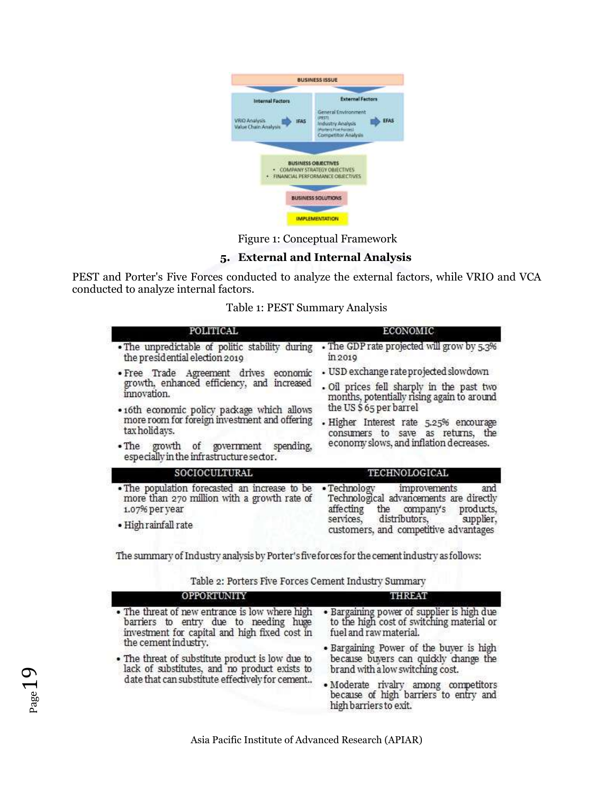

Figure 1: Conceptual Framework

# **5. External and Internal Analysis**

PEST and Porter's Five Forces conducted to analyze the external factors, while VRIO and VCA conducted to analyze internal factors.

|  |  | Table 1: PEST Summary Analysis |  |  |
|--|--|--------------------------------|--|--|
|--|--|--------------------------------|--|--|

| POLITICAL                                                                                                                              | <b>ECONOMIC</b>                                                                                                                                                                                   |  |  |  |
|----------------------------------------------------------------------------------------------------------------------------------------|---------------------------------------------------------------------------------------------------------------------------------------------------------------------------------------------------|--|--|--|
| . The unpredictable of politic stability during<br>the presidential election 2019                                                      | • The GDP rate projected will grow by 5.3%<br>in 2019                                                                                                                                             |  |  |  |
| · Free Trade Agreement drives economic                                                                                                 | • USD exchange rate projected slowdown                                                                                                                                                            |  |  |  |
| growth, enhanced efficiency, and increased<br>innovation.                                                                              | · Oil prices fell sharply in the past two<br>months, potentially rising again to around                                                                                                           |  |  |  |
| • 16th economic policy package which allows<br>more room for foreign investment and offering                                           | the US\$65 per barrel                                                                                                                                                                             |  |  |  |
| tax holidays.                                                                                                                          | · Higher Interest rate 5.25% encourage<br>consumers to save as returns, the                                                                                                                       |  |  |  |
| . The growth of government<br>spending,<br>especially in the infrastructure sector.                                                    | economy slows, and inflation decreases.                                                                                                                                                           |  |  |  |
| SOCIOCULTURAL                                                                                                                          | TECHNOLOGICAL                                                                                                                                                                                     |  |  |  |
| . The population forecasted an increase to be<br>more than 270 million with a growth rate of<br>1.07% per year<br>• High rainfall rate | • Technology improvements<br>and<br>Technological advancements are directly<br>affecting<br>the company's products,<br>services, distributors, supplier,<br>customers, and competitive advantages |  |  |  |

The summary of Industry analysis by Porter's five forces for the cement industry as follows:

| Table 2: Porters Five Forces Cement Industry Summary |  |  |  |
|------------------------------------------------------|--|--|--|
|------------------------------------------------------|--|--|--|

| OPPORTUNITY                                                                                                                              | <b>THREAT</b>                                                                                                     |  |  |
|------------------------------------------------------------------------------------------------------------------------------------------|-------------------------------------------------------------------------------------------------------------------|--|--|
| • The threat of new entrance is low where high<br>barriers to entry due to needing huge<br>investment for capital and high fixed cost in | • Bargaining power of supplier is high due<br>to the high cost of switching material or<br>fuel and raw material. |  |  |
| the cement industry.                                                                                                                     | • Bargaining Power of the buyer is high                                                                           |  |  |
| • The threat of substitute product is low due to<br>lack of substitutes, and no product exists to                                        | because buyers can quickly change the<br>brand with a low switching cost.                                         |  |  |
| date that can substitute effectively for cement                                                                                          | · Moderate rivalry among competitors<br>because of high barriers to entry and<br>high barriers to exit.           |  |  |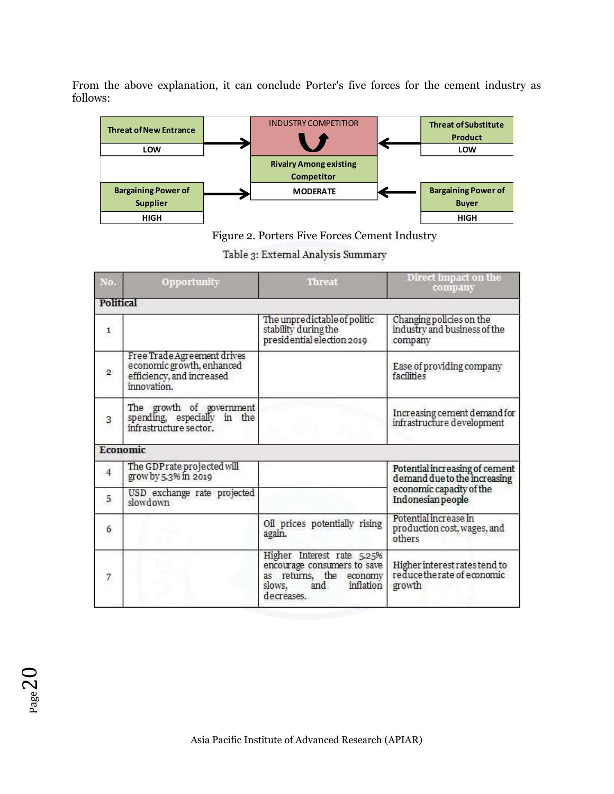From the above explanation, it can conclude Porter's five forces for the cement industry as follows:



Figure 2. Porters Five Forces Cement Industry

| Table 3: External Analysis Summary |
|------------------------------------|
|                                    |

| No.            | Opportunity                                                                                          | Threat                                                                                                                           | Direct impact on the<br>company                                        |
|----------------|------------------------------------------------------------------------------------------------------|----------------------------------------------------------------------------------------------------------------------------------|------------------------------------------------------------------------|
| Political      |                                                                                                      |                                                                                                                                  |                                                                        |
| $\mathbf{1}$   |                                                                                                      | The unpredictable of politic<br>stability during the<br>presidential election 2019                                               | Changing policies on the<br>industry and business of the<br>company    |
| $\mathbf{2}$   | Free Trade Agreement drives<br>economic growth, enhanced<br>efficiency, and increased<br>innovation. |                                                                                                                                  | Ease of providing company<br>facilities                                |
| 3              | The growth of government<br>spending, especially in the<br>infrastructure sector.                    |                                                                                                                                  | Increasing cement demand for<br>infrastructure development             |
|                | Economic                                                                                             |                                                                                                                                  |                                                                        |
| $\overline{4}$ | The GDP rate projected will<br>grow by 5.3% in 2019                                                  |                                                                                                                                  | Potential increasing of cement<br>demand due to the increasing         |
| 5              | USD exchange rate projected<br>slowdown                                                              |                                                                                                                                  | economic capacity of the<br>Indonesian people                          |
| 6              |                                                                                                      | Oil prices potentially rising<br>again.                                                                                          | Potential increase in<br>production cost, wages, and<br>others         |
| 7              |                                                                                                      | Higher Interest rate 5.25%<br>encourage consumers to save<br>as returns, the economy<br>inflation<br>slows,<br>and<br>decreases. | Higher interest rates tend to<br>reduce the rate of economic<br>growth |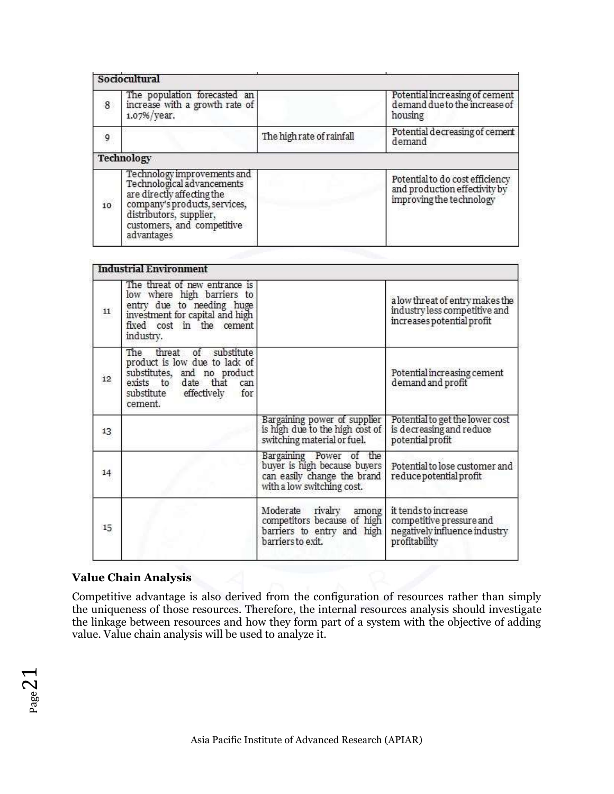|    | Sociocultural                                                                                                                                                                                   |                           |                                                                                              |
|----|-------------------------------------------------------------------------------------------------------------------------------------------------------------------------------------------------|---------------------------|----------------------------------------------------------------------------------------------|
| 8  | The population forecasted an<br>increase with a growth rate of<br>1.07%/year.                                                                                                                   |                           | Potential increasing of cement<br>demand due to the increase of<br>housing                   |
| 9  |                                                                                                                                                                                                 | The high rate of rainfall | Potential decreasing of cement<br>demand                                                     |
|    | Technology                                                                                                                                                                                      |                           |                                                                                              |
| 10 | Technology improvements and<br>Technological advancements<br>are directly affecting the<br>company's products, services,<br>distributors, supplier,<br>customers, and competitive<br>advantages |                           | Potential to do cost efficiency<br>and production effectivity by<br>improving the technology |

|    | <b>Industrial Environment</b>                                                                                                                                        |                                                                                                                      |                                                                                                    |
|----|----------------------------------------------------------------------------------------------------------------------------------------------------------------------|----------------------------------------------------------------------------------------------------------------------|----------------------------------------------------------------------------------------------------|
| 11 | The threat of new entrance is<br>low where high barriers to<br>entry due to needing huge<br>investment for capital and high<br>fixed cost in the cement<br>industry. |                                                                                                                      | a low threat of entry makes the<br>industry less competitive and<br>increases potential profit     |
| 12 | The threat of substitute<br>product is low due to lack of<br>substitutes, and no product<br>exists to date that can<br>substitute effectively for<br>cement.         |                                                                                                                      | Potential increasing cement<br>demand and profit                                                   |
| 13 |                                                                                                                                                                      | Bargaining power of supplier<br>is high due to the high cost of<br>switching material or fuel.                       | Potential to get the lower cost<br>is decreasing and reduce<br>potential profit                    |
| 14 |                                                                                                                                                                      | Bargaining Power of the<br>buyer is high because buyers<br>can easily change the brand<br>with a low switching cost. | Potential to lose customer and<br>reduce potential profit                                          |
| 15 |                                                                                                                                                                      | Moderate<br>rivalry<br>among<br>competitors because of high<br>barriers to entry and high<br>barriers to exit.       | it tends to increase<br>competitive pressure and<br>negatively influence industry<br>profitability |

## **Value Chain Analysis**

Competitive advantage is also derived from the configuration of resources rather than simply the uniqueness of those resources. Therefore, the internal resources analysis should investigate the linkage between resources and how they form part of a system with the objective of adding value. Value chain analysis will be used to analyze it.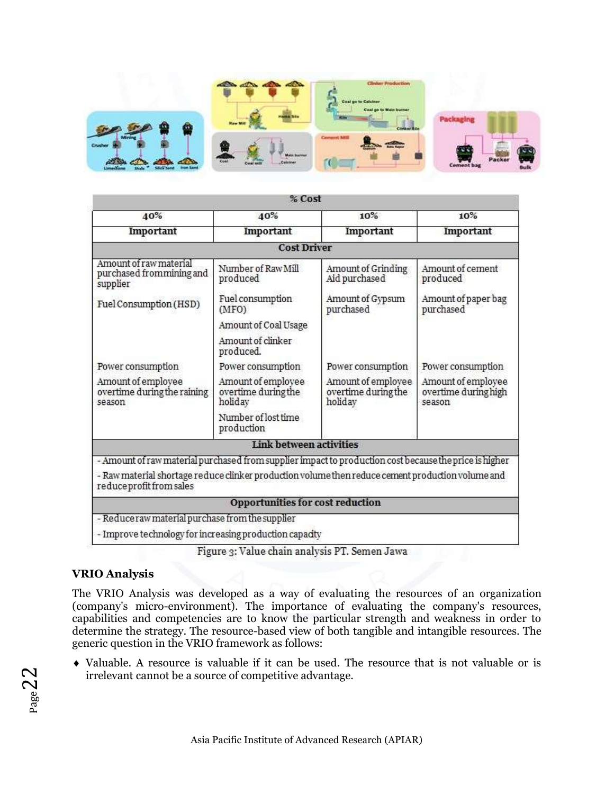

|                                                                                                                              | % Cost                                               |                                                      |                                                      |  |
|------------------------------------------------------------------------------------------------------------------------------|------------------------------------------------------|------------------------------------------------------|------------------------------------------------------|--|
| 40%                                                                                                                          | 40%                                                  | 10%                                                  | 10%                                                  |  |
| Important                                                                                                                    | Important                                            | Important                                            | Important                                            |  |
|                                                                                                                              | <b>Cost Driver</b>                                   |                                                      |                                                      |  |
| Amount of raw material<br>purchased from mining and<br>supplier                                                              | Number of Raw Mill<br>produced                       | Amount of Grinding<br>Aid purchased                  | Amount of cement<br>produced                         |  |
| Fuel Consumption (HSD)                                                                                                       | Fuel consumption<br>(MFO)                            | Amount of Gypsum<br>purchased                        | Amount of paper bag<br>purchased                     |  |
|                                                                                                                              | Amount of Coal Usage                                 |                                                      |                                                      |  |
|                                                                                                                              | Amount of clinker<br>produced.                       |                                                      |                                                      |  |
| Power consumption                                                                                                            | Power consumption                                    | Power consumption                                    | Power consumption                                    |  |
| Amount of employee<br>overtime during the raining<br>season                                                                  | Amount of employee<br>overtime during the<br>holiday | Amount of employee<br>overtime during the<br>holiday | Amount of employee<br>overtime during high<br>season |  |
|                                                                                                                              | Number of lost time<br>production                    |                                                      |                                                      |  |
|                                                                                                                              | Link between activities                              |                                                      |                                                      |  |
| - Amount of raw material purchased from supplier impact to production cost because the price is higher                       |                                                      |                                                      |                                                      |  |
| - Raw material shortage reduce clinker production volume then reduce cement production volume and<br>reduceprofit from sales |                                                      |                                                      |                                                      |  |
|                                                                                                                              | Opportunities for cost reduction                     |                                                      |                                                      |  |
| - Reduceraw material purchase from the supplier<br>- Improve technology for increasing production capacity                   |                                                      |                                                      |                                                      |  |

Figure 3: Value chain analysis PT. Semen Jawa

# **VRIO Analysis**

The VRIO Analysis was developed as a way of evaluating the resources of an organization (company's micro-environment). The importance of evaluating the company's resources, capabilities and competencies are to know the particular strength and weakness in order to determine the strategy. The resource-based view of both tangible and intangible resources. The generic question in the VRIO framework as follows:

 Valuable. A resource is valuable if it can be used. The resource that is not valuable or is irrelevant cannot be a source of competitive advantage.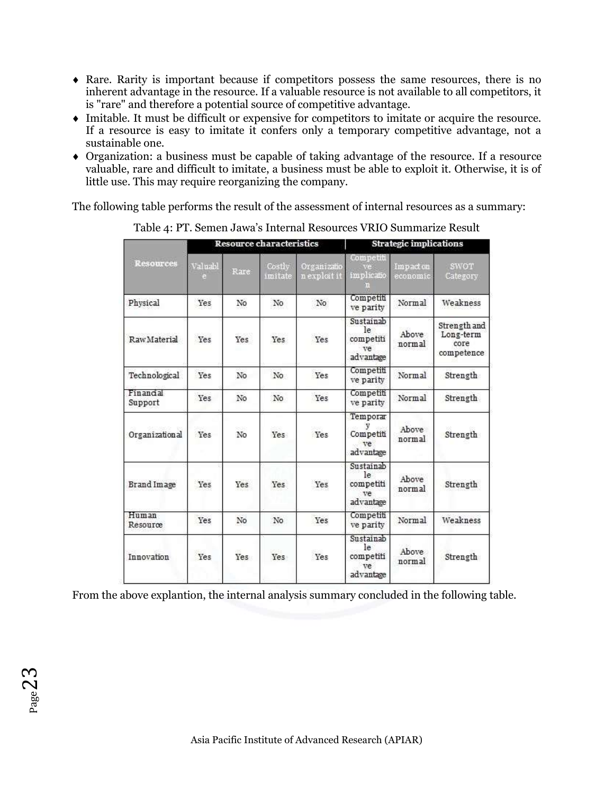- Rare. Rarity is important because if competitors possess the same resources, there is no inherent advantage in the resource. If a valuable resource is not available to all competitors, it is "rare" and therefore a potential source of competitive advantage.
- Imitable. It must be difficult or expensive for competitors to imitate or acquire the resource. If a resource is easy to imitate it confers only a temporary competitive advantage, not a sustainable one.
- Organization: a business must be capable of taking advantage of the resource. If a resource valuable, rare and difficult to imitate, a business must be able to exploit it. Otherwise, it is of little use. This may require reorganizing the company.

The following table performs the result of the assessment of internal resources as a summary:

|                      |         |       | <b>Resource characteristics</b> |                             | <b>Strategic implications</b>                           |                       |                                                 |
|----------------------|---------|-------|---------------------------------|-----------------------------|---------------------------------------------------------|-----------------------|-------------------------------------------------|
| <b>Resources</b>     | Valuabl | Rare: | Costly<br>imitate               | Organizatio<br>n exploit it | Competiti<br>implicatio                                 | Impact on<br>economic | SWOT<br>Category                                |
| Physical             | Yes     | No    | No                              | No                          | Competiti<br>ve parity                                  | Normal                | Weakness                                        |
| Raw Material         | Yes     | Yes   | Yes                             | Yes                         | Sustainab<br>le<br>competiti<br>ve<br>advantage         | Above<br>normal       | Strength and<br>Long-term<br>core<br>competence |
| Technological        | Yes     | No    | No                              | Yes                         | Competiti<br>ve parity                                  | Normal                | Strength                                        |
| Financial<br>Support | Yes     | No    | No                              | Yes                         | Competiti<br>ve parity                                  | Normal                | Strength                                        |
| Organizational       | Yes     | No    | Yes                             | Yes                         | Temporar<br>Competiti<br>ve<br>advantage                | Above<br>normal       | Strength                                        |
| Brand Image          | Yes     | Yes   | Yes                             | Yes                         | Sustainab<br>le<br>competiti<br><b>Tre</b><br>advantage | Above<br>normal       | Strength                                        |
| Human<br>Resource    | Yes     | No    | No                              | Yes                         | Competiti<br>ve parity                                  | Normal                | Weakness                                        |
| Innovation           | Yes     | Yes   | Yes                             | Yes                         | Sustainab<br>le.<br>competiti<br>ve<br>advantage        | Above<br>normal       | Strength                                        |

Table 4: PT. Semen Jawa's Internal Resources VRIO Summarize Result

From the above explantion, the internal analysis summary concluded in the following table.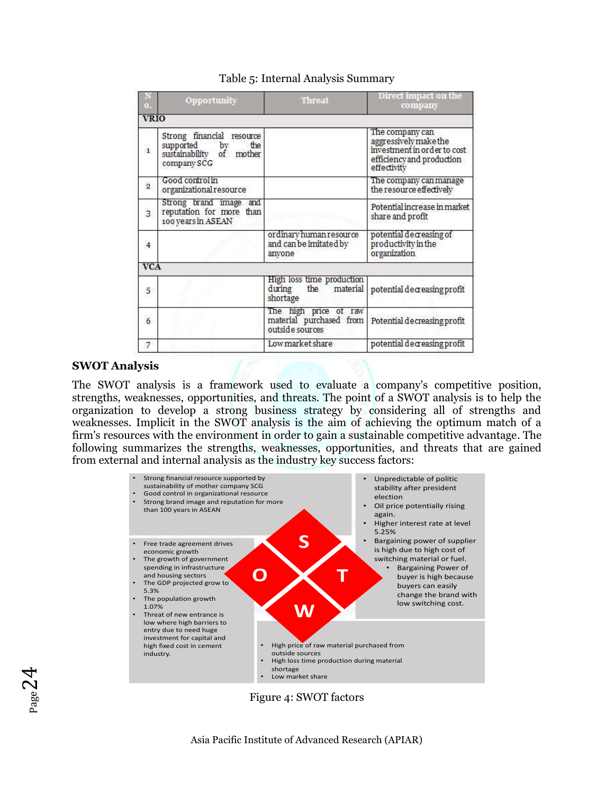|                         | Opportunity                                                                                                 | <b>Threat</b>                                                       | Direct impact on the<br>company                                                                                     |
|-------------------------|-------------------------------------------------------------------------------------------------------------|---------------------------------------------------------------------|---------------------------------------------------------------------------------------------------------------------|
| <b>VRIO</b>             |                                                                                                             |                                                                     |                                                                                                                     |
| $\mathbf{1}$            | Strong financial resource<br>supported<br>sustainability<br>the<br>by<br>mother<br>$\circ$ f<br>company SCG |                                                                     | The company can<br>aggressively make the<br>investment in order to cost<br>efficiency and production<br>effectivity |
| $\overline{2}$          | Good control in<br>organizational resource                                                                  |                                                                     | The company can manage<br>the resource effectively                                                                  |
| $\overline{\mathbf{3}}$ | Strong brand image<br>and<br>reputation for more<br>than<br>100 years in ASEAN                              |                                                                     | Potential increase in market<br>share and profit                                                                    |
| $\overline{4}$          |                                                                                                             | ordinary human resource<br>and can be imitated by<br>anyone         | $potential$ decreasing of<br>productivity in the<br>organization                                                    |
| <b>VCA</b>              |                                                                                                             |                                                                     |                                                                                                                     |
| 5                       |                                                                                                             | High loss time production<br>material<br>during<br>the<br>shortage  | potential decreasing profit                                                                                         |
| $\ddot{\mathbf{6}}$     |                                                                                                             | The high price of raw<br>material purchased from<br>outside sources | Potential decreasing profit                                                                                         |
| 7                       |                                                                                                             | Low market share                                                    | potential decreasing profit                                                                                         |

## Table 5: Internal Analysis Summary

#### **SWOT Analysis**

 $_{\rm Page}$ 24

The SWOT analysis is a framework used to evaluate a company's competitive position, strengths, weaknesses, opportunities, and threats. The point of a SWOT analysis is to help the organization to develop a strong business strategy by considering all of strengths and weaknesses. Implicit in the SWOT analysis is the aim of achieving the optimum match of a firm's resources with the environment in order to gain a sustainable competitive advantage. The following summarizes the strengths, weaknesses, opportunities, and threats that are gained from external and internal analysis as the industry key success factors:



Figure 4: SWOT factors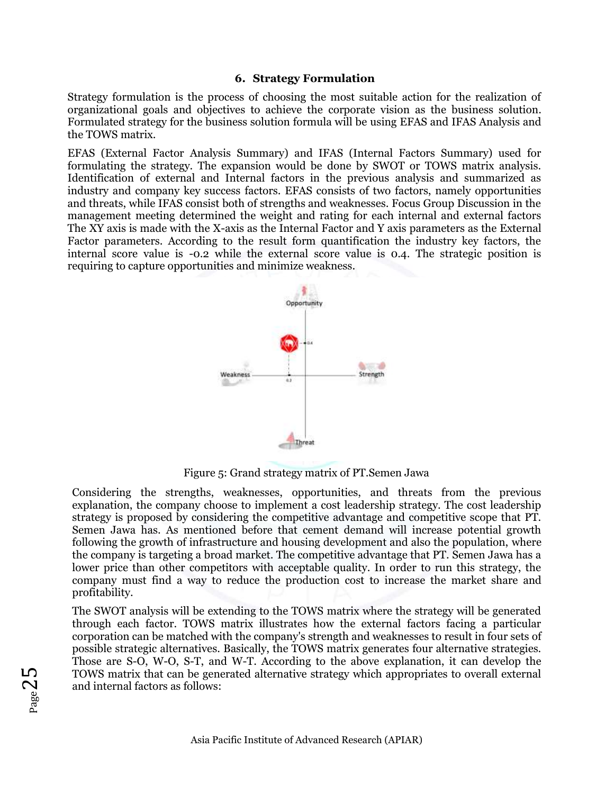### **6. Strategy Formulation**

Strategy formulation is the process of choosing the most suitable action for the realization of organizational goals and objectives to achieve the corporate vision as the business solution. Formulated strategy for the business solution formula will be using EFAS and IFAS Analysis and the TOWS matrix.

EFAS (External Factor Analysis Summary) and IFAS (Internal Factors Summary) used for formulating the strategy. The expansion would be done by SWOT or TOWS matrix analysis. Identification of external and Internal factors in the previous analysis and summarized as industry and company key success factors. EFAS consists of two factors, namely opportunities and threats, while IFAS consist both of strengths and weaknesses. Focus Group Discussion in the management meeting determined the weight and rating for each internal and external factors The XY axis is made with the X-axis as the Internal Factor and Y axis parameters as the External Factor parameters. According to the result form quantification the industry key factors, the internal score value is -0.2 while the external score value is 0.4. The strategic position is requiring to capture opportunities and minimize weakness.



Figure 5: Grand strategy matrix of PT.Semen Jawa

Considering the strengths, weaknesses, opportunities, and threats from the previous explanation, the company choose to implement a cost leadership strategy. The cost leadership strategy is proposed by considering the competitive advantage and competitive scope that PT. Semen Jawa has. As mentioned before that cement demand will increase potential growth following the growth of infrastructure and housing development and also the population, where the company is targeting a broad market. The competitive advantage that PT. Semen Jawa has a lower price than other competitors with acceptable quality. In order to run this strategy, the company must find a way to reduce the production cost to increase the market share and profitability.

The SWOT analysis will be extending to the TOWS matrix where the strategy will be generated through each factor. TOWS matrix illustrates how the external factors facing a particular corporation can be matched with the company's strength and weaknesses to result in four sets of possible strategic alternatives. Basically, the TOWS matrix generates four alternative strategies. Those are S-O, W-O, S-T, and W-T. According to the above explanation, it can develop the TOWS matrix that can be generated alternative strategy which appropriates to overall external and internal factors as follows: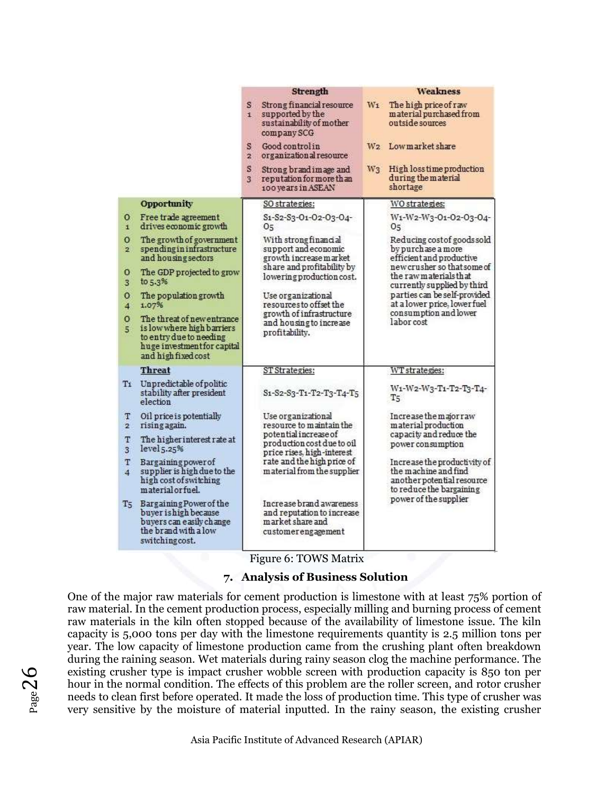|                              |                                                                                                                                           |                        | <b>Strength</b>                                                                                  |       | <b>Weakness</b>                                                                                                |
|------------------------------|-------------------------------------------------------------------------------------------------------------------------------------------|------------------------|--------------------------------------------------------------------------------------------------|-------|----------------------------------------------------------------------------------------------------------------|
|                              |                                                                                                                                           | s.<br>i.               | Strong financial resource<br>supported by the<br>sustainability of mother<br>company SCG         | $W_1$ | The high price of raw<br>material purchased from<br>outside sources                                            |
|                              |                                                                                                                                           | S.<br>$\overline{2}$ . | Good control in<br>organizational resource                                                       |       | W2 Lowmarket share                                                                                             |
|                              |                                                                                                                                           | S.<br>3                | Strong brand image and<br>reputation for more than<br>100 years in ASEAN                         | $W_3$ | High loss time production<br>during the material<br>shortage                                                   |
|                              | <b>Opportunity</b>                                                                                                                        |                        | SO strategies:                                                                                   |       | WO strategies:                                                                                                 |
| $\mathbf{o}$<br>$\mathbf{1}$ | Free trade agreement<br>drives economic growth                                                                                            |                        | S1-S2-S3-O1-O2-O3-O4-<br>05                                                                      |       | W1-W2-W3-01-02-03-04-<br>05                                                                                    |
| $\circ$<br>$\overline{2}$    | The growth of government<br>spending in infrastructure<br>and housing sectors                                                             |                        | With strong financial<br>support and economic<br>growth increase market                          |       | Reducing cost of goods sold<br>by purchase a more<br>efficient and productive                                  |
| о<br>3 <sup>1</sup>          | The GDP projected to grow<br>to 5.3%                                                                                                      |                        | share and profitability by<br>lowering production cost.                                          |       | new crusher so that some of<br>the raw materials that<br>currently supplied by third                           |
| $\circ$<br>$\overline{4}$    | The population growth<br>1.07%                                                                                                            |                        | Use organizational<br>resources to offset the                                                    |       | parties can be self-provided<br>at a lower price, lower fuel                                                   |
| $\circ$<br>5                 | The threat of new entrance<br>is low where high barriers<br>to entry due to needing<br>huge investment for capital<br>and high fixed cost |                        | growth of infrastructure<br>and housing to increase<br>profitability.                            |       | consumption and lower<br>labor cost                                                                            |
|                              | <b>Threat</b>                                                                                                                             |                        | ST Strategies:                                                                                   |       | WT strategies:                                                                                                 |
|                              | T1 Unpredictable of politic<br>stability after president<br>election                                                                      |                        | S1-S2-S3-T1-T2-T3-T4-T5                                                                          |       | W1-W2-W3-T1-T2-T3-T4-<br>T5                                                                                    |
| т<br>$\overline{2}$          | Oil price is potentially<br>rising again.                                                                                                 |                        | Use organizational<br>resource to maintain the                                                   |       | Increase the major raw<br>material production                                                                  |
| т<br>3 <sup>1</sup>          | The higher interest rate at<br>level <sub>5.25</sub> %                                                                                    |                        | potential increase of<br>production cost due to oil<br>price rises, high-interest                |       | capacity and reduce the<br>power consumption                                                                   |
| т<br>$\overline{4}$          | <b>Bargaining power of</b><br>supplier is high due to the<br>high cost of switching<br>material or fuel.                                  |                        | rate and the high price of<br>material from the supplier                                         |       | Increase the productivity of<br>the machine and find<br>another potential resource<br>to reduce the bargaining |
| $T_5$                        | Bargaining Power of the<br>buyer is high because<br>buyers can easily change<br>the brand with a low<br>switching cost.                   |                        | Increase brand awareness<br>and reputation to increase<br>market share and<br>customerengagement |       | power of the supplier                                                                                          |

Figure 6: TOWS Matrix

#### **7. Analysis of Business Solution**

One of the major raw materials for cement production is limestone with at least 75% portion of raw material. In the cement production process, especially milling and burning process of cement raw materials in the kiln often stopped because of the availability of limestone issue. The kiln capacity is 5,000 tons per day with the limestone requirements quantity is 2.5 million tons per year. The low capacity of limestone production came from the crushing plant often breakdown during the raining season. Wet materials during rainy season clog the machine performance. The existing crusher type is impact crusher wobble screen with production capacity is 850 ton per hour in the normal condition. The effects of this problem are the roller screen, and rotor crusher needs to clean first before operated. It made the loss of production time. This type of crusher was very sensitive by the moisture of material inputted. In the rainy season, the existing crusher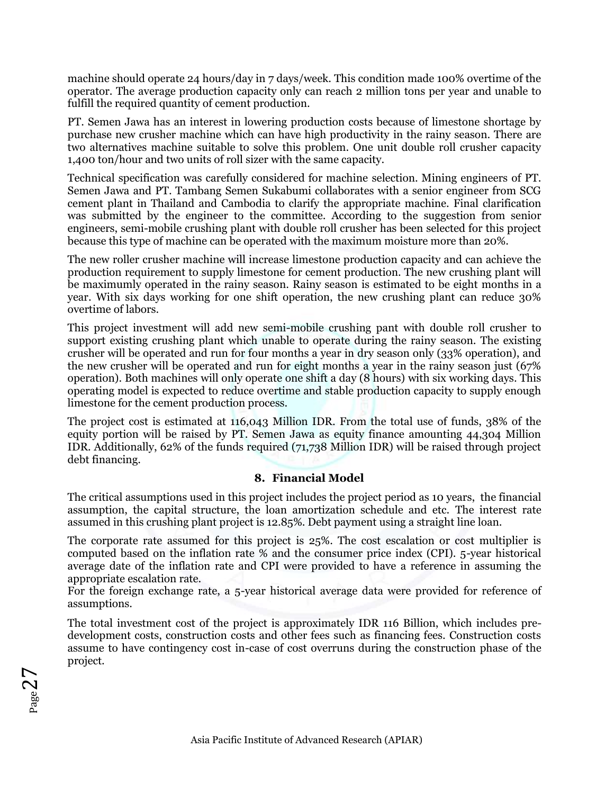machine should operate 24 hours/day in 7 days/week. This condition made 100% overtime of the operator. The average production capacity only can reach 2 million tons per year and unable to fulfill the required quantity of cement production.

PT. Semen Jawa has an interest in lowering production costs because of limestone shortage by purchase new crusher machine which can have high productivity in the rainy season. There are two alternatives machine suitable to solve this problem. One unit double roll crusher capacity 1,400 ton/hour and two units of roll sizer with the same capacity.

Technical specification was carefully considered for machine selection. Mining engineers of PT. Semen Jawa and PT. Tambang Semen Sukabumi collaborates with a senior engineer from SCG cement plant in Thailand and Cambodia to clarify the appropriate machine. Final clarification was submitted by the engineer to the committee. According to the suggestion from senior engineers, semi-mobile crushing plant with double roll crusher has been selected for this project because this type of machine can be operated with the maximum moisture more than 20%.

The new roller crusher machine will increase limestone production capacity and can achieve the production requirement to supply limestone for cement production. The new crushing plant will be maximumly operated in the rainy season. Rainy season is estimated to be eight months in a year. With six days working for one shift operation, the new crushing plant can reduce 30% overtime of labors.

This project investment will add new semi-mobile crushing pant with double roll crusher to support existing crushing plant which unable to operate during the rainy season. The existing crusher will be operated and run for four months a year in dry season only (33% operation), and the new crusher will be operated and run for eight months a year in the rainy season just (67% operation). Both machines will only operate one shift a day (8 hours) with six working days. This operating model is expected to reduce overtime and stable production capacity to supply enough limestone for the cement production process.

The project cost is estimated at 116,043 Million IDR. From the total use of funds, 38% of the equity portion will be raised by PT. Semen Jawa as equity finance amounting 44,304 Million IDR. Additionally, 62% of the funds required (71,738 Million IDR) will be raised through project debt financing.

## **8. Financial Model**

The critical assumptions used in this project includes the project period as 10 years, the financial assumption, the capital structure, the loan amortization schedule and etc. The interest rate assumed in this crushing plant project is 12.85%. Debt payment using a straight line loan.

The corporate rate assumed for this project is 25%. The cost escalation or cost multiplier is computed based on the inflation rate % and the consumer price index (CPI). 5-year historical average date of the inflation rate and CPI were provided to have a reference in assuming the appropriate escalation rate.

For the foreign exchange rate, a 5-year historical average data were provided for reference of assumptions.

The total investment cost of the project is approximately IDR 116 Billion, which includes predevelopment costs, construction costs and other fees such as financing fees. Construction costs assume to have contingency cost in-case of cost overruns during the construction phase of the project.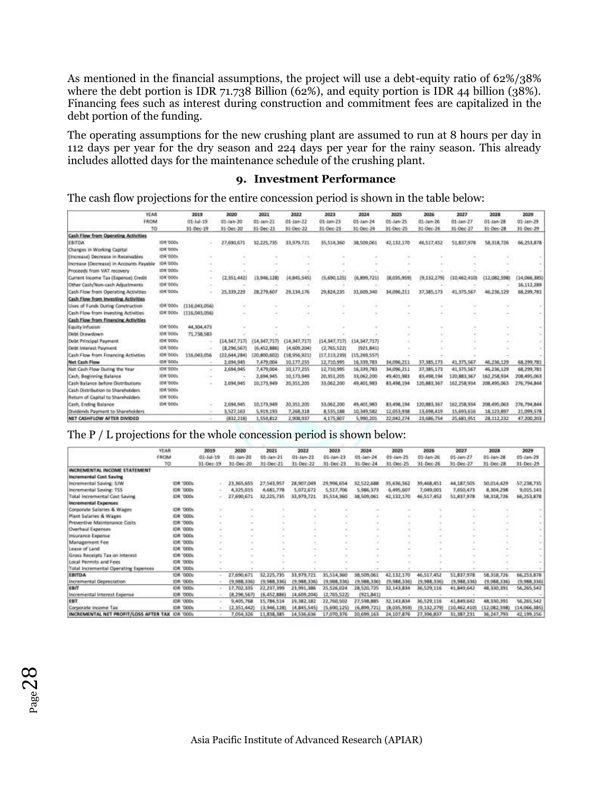As mentioned in the financial assumptions, the project will use a debt-equity ratio of 62%/38% where the debt portion is IDR 71.738 Billion (62%), and equity portion is IDR 44 billion (38%). Financing fees such as interest during construction and commitment fees are capitalized in the debt portion of the funding.

The operating assumptions for the new crushing plant are assumed to run at 8 hours per day in 112 days per year for the dry season and 224 days per year for the rainy season. This already includes allotted days for the maintenance schedule of the crushing plant.

#### **9. Investment Performance**

The cash flow projections for the entire concession period is shown in the table below:

| YEAR                                       |                  | 2019                     | 2020           | 2021             | 2022          | 2023         | 2024           | 2025       | 2026         | 2027         | 2028         | 2029          |
|--------------------------------------------|------------------|--------------------------|----------------|------------------|---------------|--------------|----------------|------------|--------------|--------------|--------------|---------------|
|                                            | FROM             |                          | 01-Jan-20      | $01 - \tan - 21$ | $01$ -Jan-22  | $01$ -Jan-23 | 01-Jan-24      | 01-Jan-25  | 01-Jan-26    | 01-Jan-27    | $01$ -Jan-28 | 01-Jan-29     |
| TO                                         |                  | 31-Dec-19                | 31-Dec-20      | 31-Dec-21        | 31-Dec-22     | 31-Dec-23    | 31-Dec-24      | 31-Dec-25  | 31-Dec-26    | 31-Dec-27    | 31-Dec-28    | 31-Dec-29     |
| Cash Flow from Operating Activities        |                  |                          |                |                  |               |              |                |            |              |              |              |               |
| EBITDA                                     | 1DR1000s         |                          | 27,690,671     | 32,225,735       | 33, 979, 721  | 35,514,360   | 38,559,061     | 42,132,170 | 46,517,452   | 51,837,978   | 58,318,726   | 66,253,878    |
| Changes in Working Capital                 | <b>JDK DOOK</b>  |                          |                |                  |               |              |                |            |              |              |              |               |
| (Increase) Decrease in Receivables         | 106/000s         |                          |                |                  |               |              |                |            |              |              |              |               |
| Increase (Decrease) in Accounts Payable    | <b>IDR 000s</b>  |                          |                |                  |               |              |                |            |              |              |              |               |
| Proceeds from VAT recovery                 | <b>IDK 000s</b>  |                          |                |                  |               |              |                |            |              |              |              |               |
| Current Income Tax (Expense) Credit        | IDR '000s        |                          | (2, 351, 442)  | (3.946, 128)     | (4, 845, 545) | (5,690,125)  | (6,899,721)    | (8.035.959 | (9,132,279)  | (10,462,410) | (12,082,598) | (14.066, 385) |
| Other Cash/Non-cash Adjustments            | <b>IDE '000s</b> |                          |                |                  |               |              |                |            |              |              |              | 16.112,289    |
| Cash Flow from Operating Activities        | <b>JDR 'DDGs</b> | $\sim$                   | 25, 339, 229   | 28,279,607       | 29.134.176    | 29.824.235   | 31,609,340     | 34.096,211 | 37,385,173   | 41,375,567   | 46,236,129   | 68.299,781    |
| <b>Cash Flow from Investing Activities</b> |                  |                          |                |                  |               |              |                |            |              |              |              |               |
| Uses of Funds During Construction          | IDR 000s         | (116,043,056)            |                |                  |               |              |                |            |              |              |              |               |
| Cash Flow from Investing Activities        | <b>IDE DOON</b>  | [116,043,056]            |                |                  |               |              |                |            |              |              |              |               |
| <b>Cash Flow from Financing Activities</b> |                  |                          |                |                  |               |              |                |            |              |              |              |               |
| Equity Infusion                            | 10K1000s         | 44,304,473               |                |                  |               |              |                |            |              |              |              |               |
| Diebt Drawdown                             | <b>IDK GOOS</b>  | 71,738,583               |                |                  |               |              |                |            |              |              |              |               |
| Debt Principal Payment                     | <b>IDR'OODs</b>  |                          | ${14,347,717}$ | (14, 347, 717)   | (14.347.717)  | (14,347,717) | (14, 347, 717) |            |              |              |              |               |
| Dobt Interest Payment                      | <b>IDR 900s</b>  |                          | (8,296,567)    | (6,452,886)      | (4,609,204)   | (2,765,522)  | (921.841)      |            |              |              |              |               |
| Cash Flow from Financing Activities        | <b>JDK BOOS</b>  | 116,043,056              | ${22,644,284}$ | (20.800,602)     | (18,956,921)  | (17,113,239) | (15,269,557)   |            |              |              |              |               |
| <b>Net Cash Flow</b>                       | IDR DOOW         |                          | 2,694,945      | 7,479,004        | 10.177.255    | 12,710.995   | 16.339.783     | 34.096.211 | 37, 385, 173 | 41,375,567   | 46, 236, 129 | 68.299.781    |
| Net Cash Flow During the Year              | IDK '000s        | ×                        | 2,694,945      | 7,479,004        | 10.177.255    | 12,710,995   | 16, 339, 783   | 34.096.211 | 37,385,173   | 41,375,567   | 46.236,129   | 68.299,781    |
| Cash, Beginning Balance                    | <b>IDR TOOL</b>  |                          |                | 2,694,945        | 10,173,949    | 20,351,205   | 13,062,200     | 49,401,983 | 83, 498, 194 | 120,883,367  | 162,258,934  | 208,495,063   |
| Cash Balance before Distributions          | <b>IDE GODS</b>  |                          | 2,694,945      | 10.173.949       | 20.351.205    | 33,062,200   | 49,401.983     | 83,458,194 | 120,883,367  | 162,258,934  | 208,495,063  | 276.794.844   |
| Cash Distribution to Shareholders          | <b>IDR'SOOS</b>  |                          |                |                  |               |              |                |            |              |              |              |               |
| <b>Beturn of Capital to Shareholders</b>   | <b>IDR '000s</b> |                          |                |                  |               |              |                |            |              |              |              |               |
| Cash, Ending Balance                       | <b>IDR 1300s</b> |                          | 2,694,945      | 10.173.949       | 20.351.205    | 33,062,200   | 49,401,983     | 83,498,194 | 120,883,367  | 162,258,934  | 208.495.063  | 276.794,844   |
| Dividends Payment to Shareholders          |                  | $\sim$                   | 3,527,163      | 5,919,193        | 7,268,318     | 8,535,188    | 10.349.582     | 12,053,938 | 13,698.419   | 15,693,616   | 18, 123, 897 | 21.099,578    |
| NET CASHFLOW AFTER DIVIDED                 |                  | $\overline{\phantom{a}}$ | (832, 218)     | 1,559,812        | 2,908,937     | 4,175,807    | 5,990,201      | 22,042,274 | 23,686.754   | 25,681,951   | 28, 112, 232 | 47,200,203    |

The P / L projections for the whole concession period is shown below:

|                                       | <b>YEAR</b><br>FROM        | 2019          | 2020          | 2021                          | 2022                   | 2023        | 2024                            | 2025         | 2026        | 2027                   | 2028                                 | 2029                     |
|---------------------------------------|----------------------------|---------------|---------------|-------------------------------|------------------------|-------------|---------------------------------|--------------|-------------|------------------------|--------------------------------------|--------------------------|
|                                       |                            | 01-14-19      | 01-Jan-20     | $01 - \tan - 21$<br>31-Dec-21 | 01-Jan-22<br>31-Dec-22 | 01-Jan-23   | $01 - 1$ ari $-24$<br>31-Dec-24 | 01-Jan-25    | 01-Jan-26   | 01-Jan-27<br>31-Dec-27 | $01 -$ <i>lam</i> $-28$<br>31-Dec-28 | $01-1an-29$<br>31-Dec-25 |
|                                       | TO                         | 31-Dec-39     | 31-Dec-20     |                               |                        | 31-Dec-23   |                                 | 31-Dec-25    | 31-Dec-26   |                        |                                      |                          |
| INCREMENTAL INCOME STATEMENT          |                            |               |               |                               |                        |             |                                 |              |             |                        |                                      |                          |
| <b>Incremental Cost Saving</b>        |                            |               |               |                               |                        |             |                                 |              |             |                        |                                      |                          |
| Incremental Saving SJW                | <b>IDR 1000s</b>           |               | 23.365,655    | 27,543,957                    | 28.907.049             | 29.996,654  | 32,522,688                      | 35,636,562   | 39,468,451  | 44,187,505             | 50.014,429                           | 57,238,735               |
| Incremental Saving: TSS               | <b>IOR</b><br>'000s        |               | 4,325,015     | 4,681,778                     | 5,072,672              | 5,517,706   | 5,986,373                       | 6,495,607    | 7,049,001   | 7,650,471              | 8,304,298                            | 9,015,143                |
| Total Incremental Cost Saviral        | IDR '000s                  |               | 27,690,671    | 32,225,735                    | 33,979,721             | 15,514,360  | 38,509,061                      | 42,132,170   | 46,517,452  | 51,837,978             | 58,318,726                           | 66,253,878               |
| <b>Incremental Expenses</b>           |                            |               |               |                               |                        |             |                                 |              |             |                        |                                      |                          |
| Corporate Salaries & Wages            | <b>'000s</b><br><b>IDR</b> | $\frac{1}{2}$ | $\frac{1}{2}$ |                               |                        |             |                                 |              |             |                        |                                      |                          |
| <b>Mant Salaries &amp; Wages</b>      | <b>IDR '000s</b>           |               |               |                               |                        |             |                                 |              |             |                        |                                      |                          |
| Preventive Maintenance Costs          | <b>IDR '000s</b>           |               | $\sim$        |                               |                        |             |                                 |              |             |                        |                                      |                          |
| <b>Overhaul Expenses</b>              | <b>1000s</b><br><b>IDR</b> | $\sim$        |               |                               |                        |             |                                 |              |             | $\sim$                 | $\sim$                               |                          |
| Insurance Expense                     | <b>IDR '000s</b>           | $\sim$        |               |                               |                        | $\sim$      | $\sim$                          |              | $\alpha$    | $\sim$                 |                                      |                          |
| Management Fee                        | IDR '000s                  | $\sim$        |               |                               |                        |             | $\sim$                          |              | -           |                        |                                      |                          |
| Lease of Land                         | <b>IDR '000s</b>           |               |               |                               |                        |             |                                 |              |             |                        |                                      |                          |
| Gross Receipts Tax on Interest        | <b>IDR '000s</b>           |               |               |                               |                        |             |                                 |              |             |                        |                                      |                          |
| Local Permits and Fees                | <b>IDR '000s</b>           |               |               |                               |                        |             |                                 |              |             |                        |                                      |                          |
| Total Incremental Operating Expenses  | <b>IDR '000s</b>           |               |               |                               |                        |             |                                 |              |             |                        |                                      |                          |
| EBITDA                                | <b>IDR '000s</b>           |               | 27,690,671    | 32,225,735                    | 33,979.721             | 35.514.360  | 38.509.061                      | 42.132.170   | 46.517.452  | 51,837,978             | 58,318,726                           | 66,253,878               |
| Incremental Depreciation              | IDR '000s                  |               | (9.988, 336)  | (9,988,336)                   | (9.988.336)            | 9,988,336   | (9,988,336)                     | (9,988,336)  | (9,988,336) | (9,988.336)            | (9,988,336)                          | (9,988,336)              |
| EBIT                                  | <b>IDR 1000s</b>           |               | 17,702,335    | 22,237,399                    | 21.991.386             | 25,526,024  | 28,520,725                      | 32,143,834   | 36,529,116  | 41,849,642             | 48,330,391                           | 56,265,542               |
| Incremental Interest Expense          | <b>IDR '000s</b>           |               | (8.296.567    | (6,452,886)                   | (4,609,204)            | 2,765,522   | (921, 841)                      |              |             |                        |                                      |                          |
| EBT                                   | <b>IDR '000s</b>           |               | 9.405,768     | 15,784,514                    | 19,382,182             | 22,760,502  | 27,598,885                      | 32,143,834   | 36,529,116  | 41,849,642             | 48,330,391                           | 56,285,542               |
| Corporate Income Tax                  | <b>IDR '000s</b>           |               | (2.351.442)   | (3.946, 128)                  | (4,845,545)            | (5,690,125) | (6.899.721)                     | (8,035,959)  | (9.132.279) | (10,462,410)           | (12,082,598)                         | (14,066,385)             |
| INCREMENTAL NET PROFIT/LOSS AFTER TAX | <b>IDR '000s</b>           |               | 7.054.326     | 11.838.385                    | 14.536.636             | 17,070.376  | 20.699.163                      | 24, 107, 876 | 27,396,837  | 31,387,231             | 36, 247, 793                         | 42,199,156               |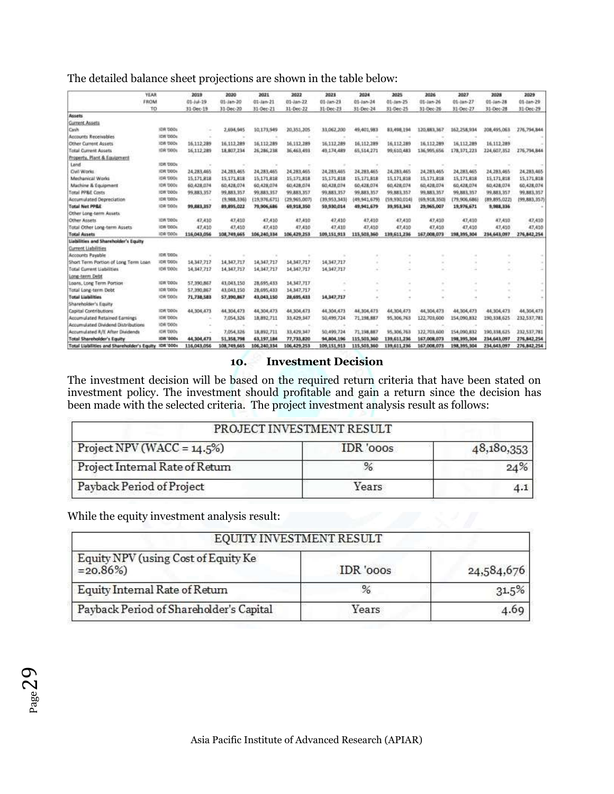| The detailed balance sheet projections are shown in the table below: |  |  |
|----------------------------------------------------------------------|--|--|
|----------------------------------------------------------------------|--|--|

|                                            | <b>YEAR</b>      | 2019          | 2020        | 2021         | 2022          | 2021<br>$01 - \frac{1}{2}$ | 2024                     | 2025         | 2026<br>01-Jan-26        | 2027<br>01-Jan-27 | 2028<br>01-Jan-28<br>31-Dec-28 | 2029<br>01-Jan-29 |
|--------------------------------------------|------------------|---------------|-------------|--------------|---------------|----------------------------|--------------------------|--------------|--------------------------|-------------------|--------------------------------|-------------------|
|                                            | FROM             | $01 - l + 19$ | 01-Jan-20   | 01-Jan-21    | 01-Jan-22     |                            | $01-1an-24$<br>31-Dec-24 | 01-Jan-25    |                          |                   |                                |                   |
|                                            | TO               | 31-Dec-19     | 31-Dec-20   | 31-Dec-21    | 31-Dec-22     | 31-Dec-23                  |                          | 31-Dec-25    | 31-Dec-26                | 31-Dec-27         |                                | 31-Dec-29         |
| <b>Assets</b>                              |                  |               |             |              |               |                            |                          |              |                          |                   |                                |                   |
| Current Assets                             |                  |               |             |              |               |                            |                          |              |                          |                   |                                |                   |
| Cirsh                                      | <b>IDR DOOL</b>  |               | 2,654,945   | 10.173.949   | 20,351,205    | 33,062,200                 | 49,401,983               | 83,498,194   | 120,883,367              | 162,258,934       | 208,495,063                    | 276,794,844       |
| Accounts Receivables                       | IDR DODE         |               |             |              |               |                            |                          |              |                          |                   |                                |                   |
| <b>Other Current Assets</b>                | <b>IDR DOOL</b>  | 16.112.289    | 16.112.289  | 16.112.289   | 16.112.289    | 16.112.289                 | 16.112.289               | 16.112.289   | 16,112,289               | 16.112.289        | 16.112.289                     |                   |
| Total Current Assets                       | <b>IDR DOOL</b>  | 16.112.289    | 18,807,234  | 26 286 238   | 36,463,493    | 49.174.489                 | 65.514.271               | 99,610,483   | 136,995,656              | 178, 371, 223     | 224,607,352                    | 276,794,844       |
| Property, Plant & Equipment                |                  |               |             |              |               |                            |                          |              |                          |                   |                                |                   |
| Land                                       | <b>IDR DOOL</b>  | ×             |             | ×            |               |                            | ÷                        |              |                          |                   |                                |                   |
| Civil Works                                | <b>IDR DODS</b>  | 24.283.465    | 24.283.465  | 24.283.465   | 24.283,465    | 24.283.465                 | 24,283,465               | 24, 283, 465 | 24, 283, 465             | 24, 283, 465      | 24, 283, 465                   | 24, 283, 465      |
| Mechanical Works                           | <b>IDR TODS</b>  | 15.171.818    | 15,171,818  | 15, 171, 818 | 15,171,818    | 15.171.818                 | 15, 171, 818             | 15, 171, 818 | 15, 171, 818             | 15,171,818        | 15,171,818                     | 15,171,818        |
| Machine & Equipment                        | <b>IDR DODs</b>  | 60.428.074    | 60.428.074  | 60,428,074   | 60.428.674    | 60.428.074                 | 60,428,074               | 60,428,074   | 60,428,074               | 60,428,074        | 60,428,074                     | 60,428,074        |
| <b>Total PPRE Costs</b>                    | <b>IDR DOOS</b>  | 99,883,357    | 99,883,357  | 99,883,357   | 99,883,357    | 99,883,357                 | 99,883,357               | 99,883,357   | 99,883,357               | 99,883,357        | 99,883,357                     | 99,883,357        |
| Accumulated Depreciation                   | 108.000x         |               | (9,988,336) | (19,976,671) | (29.965,007)  | (39.953.343)               | (49,941,679).            | (59,930,014) | (69,918,350)             | (79,906,686)      | (89,895,022)                   | (99,883,357)      |
| <b>Total Net PP&amp;E</b>                  | <b>IDR 1000s</b> | 99,883,357    | 89,895,022  | 79,906,686   | 69,918,350    | 59,930,014                 | 49,941,679               | 39,953,343   | 29,965,007               | 19,976,671        | 9,988,336                      |                   |
| Other Long-term Assets                     |                  |               |             |              |               |                            |                          |              |                          |                   |                                |                   |
| Other Assets                               | <b>IDR DODS</b>  | 47,410        | 47,410      | 47,410       | <b>47,410</b> | 47,410                     | 47,410                   | 47,410       | 47,410                   | 47,410            | 47,410                         | 47,410            |
| Total Other Long-term Assets               | IDR DOOL         | 47,410        | 47,410      | 47,410       | 47,410        | 47,430                     | 47,410                   | 47,410       | 47,410                   | 47,410            | 47,450                         | 47,410            |
| <b>Total Assets</b>                        | <b>IDR DOOL</b>  | 116,043,056   | 108,749,665 | 106,240,334  | 106,429,253   | 109.151.913                | 115,503,360              | 139,611,236  | 167,008,073              | 198, 395, 304     | 234,643,097                    | 276,842,254       |
| Liabilities and Shareholder's Equity       |                  |               |             |              |               |                            |                          |              |                          |                   |                                |                   |
| Current Liabilities                        |                  |               |             |              |               |                            |                          |              |                          |                   |                                |                   |
| Accounts Payable                           | <b>IDR DODL</b>  |               |             |              |               |                            |                          |              |                          |                   |                                |                   |
| Short Term Portion of Long Term Loan       | <b>JDR DOOL</b>  | 14.347.717    | 14.347.717  | 14.347.717   | 14,347,717    | 14.347,717                 |                          |              |                          |                   |                                | $\sim$            |
| Total Current Liabilities                  | IDR 1000s        | 14.347,717    | 14,347,717  | 14, 347, 717 | 14.347.717    | 14.347,717                 | $\sim$                   |              |                          |                   | $\sim$                         | ٠                 |
| Long-term Debt                             |                  |               |             |              |               |                            |                          |              |                          |                   |                                |                   |
| Loans, Long Term Portion                   | <b>IDR DOOL</b>  | 57,390,867    | 43,043,150  | 28,695,433   | 14,347,717    |                            | ۰                        | $\sim$       | $\overline{\phantom{a}}$ |                   | $\sim$                         |                   |
| Total Long-term Debt                       | IDR 1000s        | \$7,390,867   | 43.043.150  | 28,695,433   | 14.347.717    |                            | $\sim$                   | $\alpha$     |                          |                   | $\sim$                         | $\sim$            |
| <b>Total Liabilities</b>                   | <b>IDR DOOL</b>  | 71,738,583    | 57,390,867  | 43,043,150   | 28,695,431    | 14, 347, 717               | $\sim$                   | ٠            | ×                        | ÷                 | ×                              |                   |
| Shareholder's Equity                       |                  |               |             |              |               |                            |                          |              |                          |                   |                                |                   |
| Capital Contributions                      | <b>IDR DOOL</b>  | 44.904.473    | 44,304,473  | 44,304,473   | 44.304,473    | 44.304.473                 | 44,304,473               | 44,304,473   | 44,506,473               | 44,304,473        | 44.304.473                     | 44,304,473        |
| Accumulated Retained Earnings              | IDR DODs         |               | 7,054,326   | 18.892.711   | 33,429,347    | 50.499.724                 | 71,198,887               | 95,306.763   | 122,703,600              | 154,090.832       | 190.338,625                    | 232,537,781       |
| Accumulated Dividend Distributions         | <b>IDR DOOL</b>  |               |             |              |               |                            |                          |              |                          |                   |                                |                   |
| Accumulated R/E After Dividends            | <b>IDR DOOS</b>  |               | 7,054,326   | 18,892,711   | 33,429,347    | 50,499,724                 | 71,198,887               | 95,306,763   | 122,703,600              | 154,090,832       | 190,838,625                    | 232,537,781       |
| <b>Total Shareholder's Equity</b>          | <b>IDR '000s</b> | 44.304.473    | 51,358,798  | 63, 197, 184 | 77,733,820    | 94,804,196                 | 115,501,160              | 139,611,236  | 167,008,073              | 198,395,304       | 234,643,097                    | 276,842,254       |
| Total Liabilities and Shareholder's Equity | <b>IDR '000+</b> | 116.043.056   | 108,749,665 | 106,240,334  | 106,429,253   | 109.151.913                | 115,503,360              | 139,611,236  | 167,008,073              | 198,395,304       | 234,643,097                    | 276,842,254       |

# **10. Investment Decision**

The investment decision will be based on the required return criteria that have been stated on investment policy. The investment should profitable and gain a return since the decision has been made with the selected criteria. The project investment analysis result as follows:

| PROJECT INVESTMENT RESULT       |           |            |  |  |  |  |
|---------------------------------|-----------|------------|--|--|--|--|
| Project NPV (WACC = $14.5\%$ )  | IDR '000s | 48,180,353 |  |  |  |  |
| Project Internal Rate of Return | %         | 24%        |  |  |  |  |
| Payback Period of Project       | Years     |            |  |  |  |  |

While the equity investment analysis result:

| EQUITY INVESTMENT RESULT                            |           |            |
|-----------------------------------------------------|-----------|------------|
| Equity NPV (using Cost of Equity Ke<br>$= 20.86\%)$ | IDR '000s | 24,584,676 |
| Equity Internal Rate of Return                      | %         | 31.5%      |
| Payback Period of Shareholder's Capital             | Years     |            |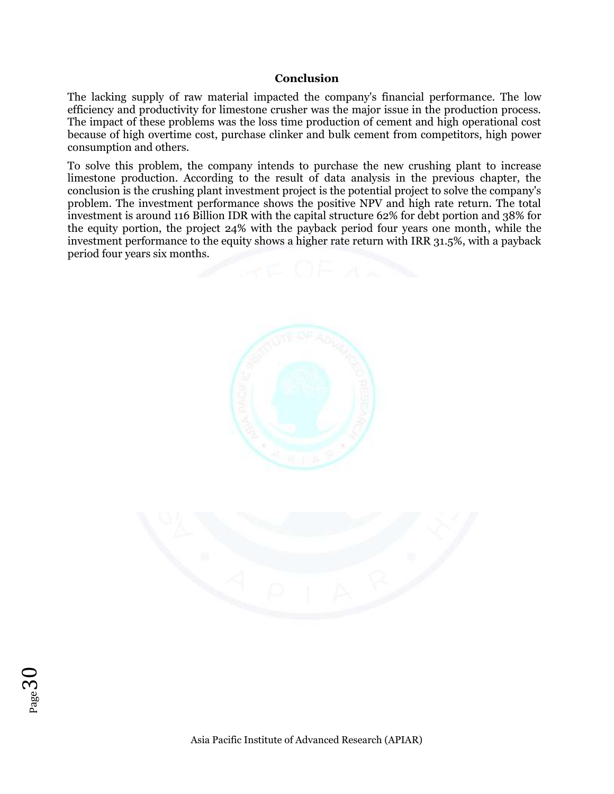#### **Conclusion**

The lacking supply of raw material impacted the company's financial performance. The low efficiency and productivity for limestone crusher was the major issue in the production process. The impact of these problems was the loss time production of cement and high operational cost because of high overtime cost, purchase clinker and bulk cement from competitors, high power consumption and others.

To solve this problem, the company intends to purchase the new crushing plant to increase limestone production. According to the result of data analysis in the previous chapter, the conclusion is the crushing plant investment project is the potential project to solve the company's problem. The investment performance shows the positive NPV and high rate return. The total investment is around 116 Billion IDR with the capital structure 62% for debt portion and 38% for the equity portion, the project 24% with the payback period four years one month, while the investment performance to the equity shows a higher rate return with IRR 31.5%, with a payback period four years six months.





 $Page30$